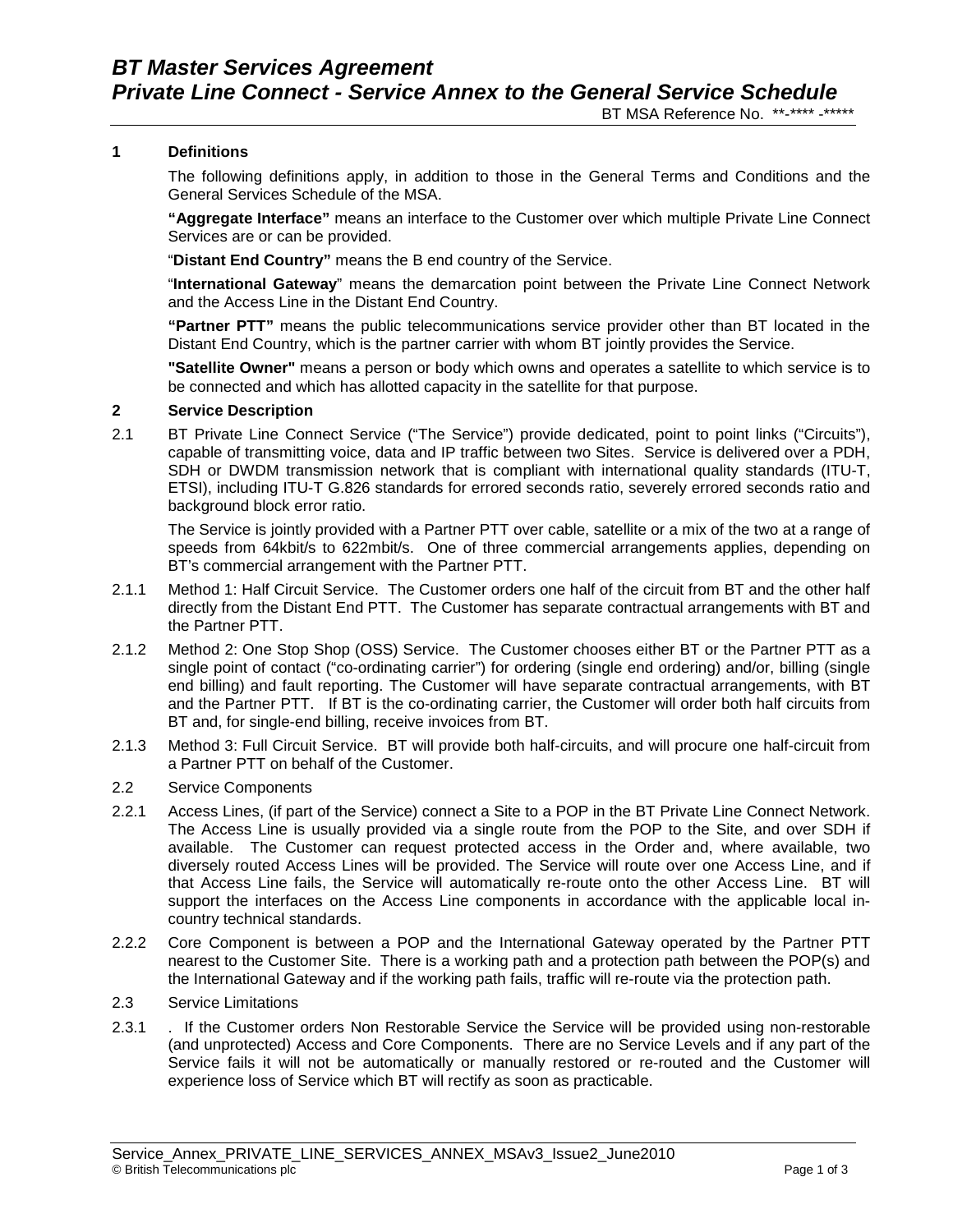### **1 Definitions**

The following definitions apply, in addition to those in the General Terms and Conditions and the General Services Schedule of the MSA.

**"Aggregate Interface"** means an interface to the Customer over which multiple Private Line Connect Services are or can be provided.

"**Distant End Country"** means the B end country of the Service.

"**International Gateway**" means the demarcation point between the Private Line Connect Network and the Access Line in the Distant End Country.

**"Partner PTT"** means the public telecommunications service provider other than BT located in the Distant End Country, which is the partner carrier with whom BT jointly provides the Service.

**"Satellite Owner"** means a person or body which owns and operates a satellite to which service is to be connected and which has allotted capacity in the satellite for that purpose.

#### **2 Service Description**

2.1 BT Private Line Connect Service ("The Service") provide dedicated, point to point links ("Circuits"), capable of transmitting voice, data and IP traffic between two Sites. Service is delivered over a PDH, SDH or DWDM transmission network that is compliant with international quality standards (ITU-T, ETSI), including ITU-T G.826 standards for errored seconds ratio, severely errored seconds ratio and background block error ratio.

The Service is jointly provided with a Partner PTT over cable, satellite or a mix of the two at a range of speeds from 64kbit/s to 622mbit/s. One of three commercial arrangements applies, depending on BT's commercial arrangement with the Partner PTT.

- 2.1.1 Method 1: Half Circuit Service. The Customer orders one half of the circuit from BT and the other half directly from the Distant End PTT. The Customer has separate contractual arrangements with BT and the Partner PTT.
- 2.1.2 Method 2: One Stop Shop (OSS) Service. The Customer chooses either BT or the Partner PTT as a single point of contact ("co-ordinating carrier") for ordering (single end ordering) and/or, billing (single end billing) and fault reporting. The Customer will have separate contractual arrangements, with BT and the Partner PTT. If BT is the co-ordinating carrier, the Customer will order both half circuits from BT and, for single-end billing, receive invoices from BT.
- 2.1.3 Method 3: Full Circuit Service. BT will provide both half-circuits, and will procure one half-circuit from a Partner PTT on behalf of the Customer.
- 2.2 Service Components
- 2.2.1 Access Lines, (if part of the Service) connect a Site to a POP in the BT Private Line Connect Network. The Access Line is usually provided via a single route from the POP to the Site, and over SDH if available. The Customer can request protected access in the Order and, where available, two diversely routed Access Lines will be provided. The Service will route over one Access Line, and if that Access Line fails, the Service will automatically re-route onto the other Access Line. BT will support the interfaces on the Access Line components in accordance with the applicable local incountry technical standards.
- 2.2.2 Core Component is between a POP and the International Gateway operated by the Partner PTT nearest to the Customer Site. There is a working path and a protection path between the POP(s) and the International Gateway and if the working path fails, traffic will re-route via the protection path.
- 2.3 Service Limitations
- 2.3.1 . If the Customer orders Non Restorable Service the Service will be provided using non-restorable (and unprotected) Access and Core Components. There are no Service Levels and if any part of the Service fails it will not be automatically or manually restored or re-routed and the Customer will experience loss of Service which BT will rectify as soon as practicable.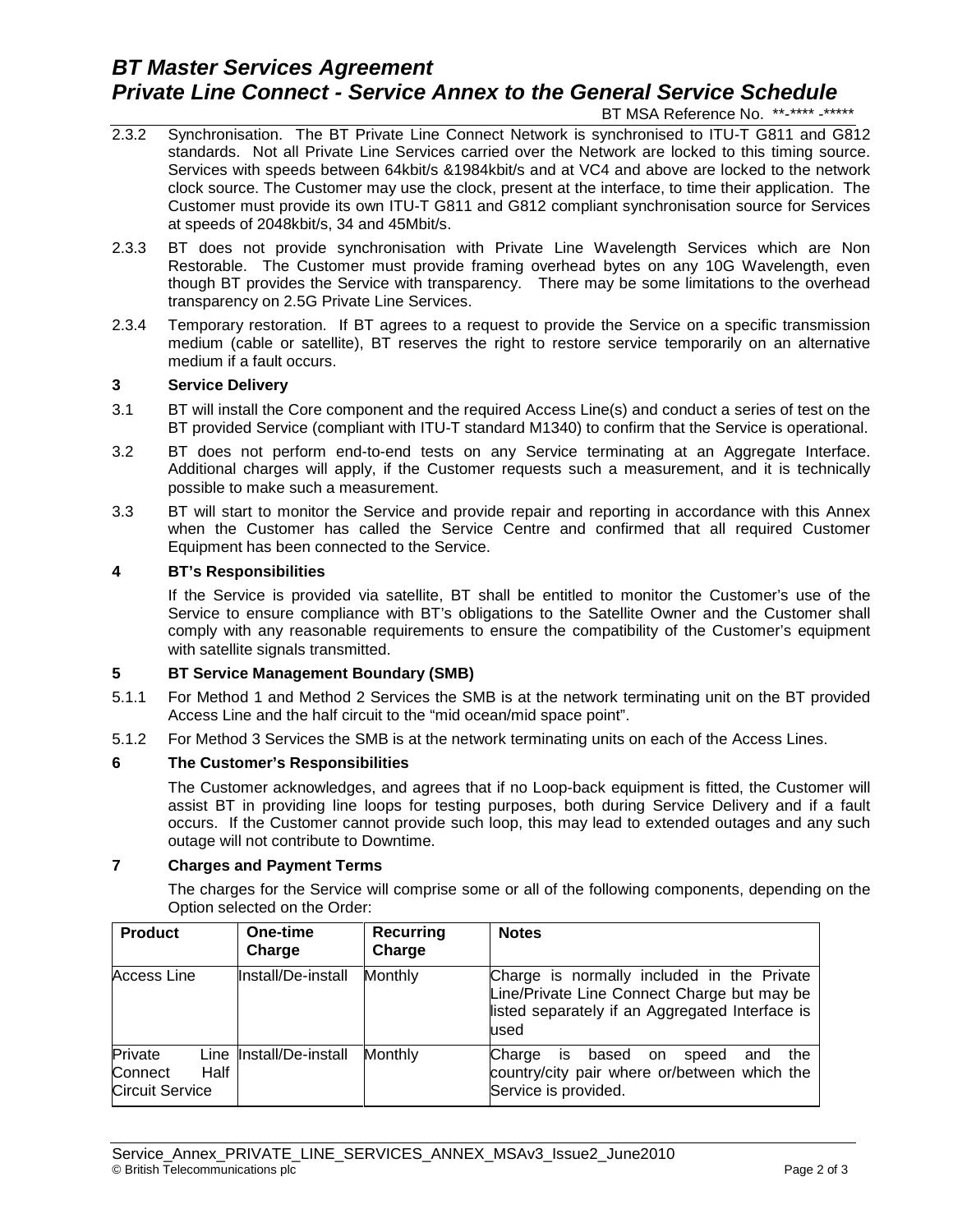# *BT Master Services Agreement Private Line Connect - Service Annex to the General Service Schedule*

BT MSA Reference No. \*\*-\*\*\*\* -\*\*\*\*\*

- 2.3.2 Synchronisation. The BT Private Line Connect Network is synchronised to ITU-T G811 and G812 standards. Not all Private Line Services carried over the Network are locked to this timing source. Services with speeds between 64kbit/s &1984kbit/s and at VC4 and above are locked to the network clock source. The Customer may use the clock, present at the interface, to time their application. The Customer must provide its own ITU-T G811 and G812 compliant synchronisation source for Services at speeds of 2048kbit/s, 34 and 45Mbit/s.
- 2.3.3 BT does not provide synchronisation with Private Line Wavelength Services which are Non Restorable. The Customer must provide framing overhead bytes on any 10G Wavelength, even though BT provides the Service with transparency. There may be some limitations to the overhead transparency on 2.5G Private Line Services.
- 2.3.4 Temporary restoration. If BT agrees to a request to provide the Service on a specific transmission medium (cable or satellite), BT reserves the right to restore service temporarily on an alternative medium if a fault occurs.

#### **3 Service Delivery**

- 3.1 BT will install the Core component and the required Access Line(s) and conduct a series of test on the BT provided Service (compliant with ITU-T standard M1340) to confirm that the Service is operational.
- 3.2 BT does not perform end-to-end tests on any Service terminating at an Aggregate Interface. Additional charges will apply, if the Customer requests such a measurement, and it is technically possible to make such a measurement.
- 3.3 BT will start to monitor the Service and provide repair and reporting in accordance with this Annex when the Customer has called the Service Centre and confirmed that all required Customer Equipment has been connected to the Service.

#### **4 BT's Responsibilities**

If the Service is provided via satellite, BT shall be entitled to monitor the Customer's use of the Service to ensure compliance with BT's obligations to the Satellite Owner and the Customer shall comply with any reasonable requirements to ensure the compatibility of the Customer's equipment with satellite signals transmitted.

#### **5 BT Service Management Boundary (SMB)**

- 5.1.1 For Method 1 and Method 2 Services the SMB is at the network terminating unit on the BT provided Access Line and the half circuit to the "mid ocean/mid space point".
- 5.1.2 For Method 3 Services the SMB is at the network terminating units on each of the Access Lines.

#### **6 The Customer's Responsibilities**

The Customer acknowledges, and agrees that if no Loop-back equipment is fitted, the Customer will assist BT in providing line loops for testing purposes, both during Service Delivery and if a fault occurs. If the Customer cannot provide such loop, this may lead to extended outages and any such outage will not contribute to Downtime.

#### **7 Charges and Payment Terms**

The charges for the Service will comprise some or all of the following components, depending on the Option selected on the Order:

| <b>Product</b>                               |      | One-time<br>Charge      | Recurring<br>Charge | <b>Notes</b>                                                                                                                                          |
|----------------------------------------------|------|-------------------------|---------------------|-------------------------------------------------------------------------------------------------------------------------------------------------------|
| <b>Access Line</b>                           |      | Install/De-install      | Monthly             | Charge is normally included in the Private<br>Line/Private Line Connect Charge but may be<br>listed separately if an Aggregated Interface is<br>lused |
| Private<br>Connect<br><b>Circuit Service</b> | Half | Line Install/De-install | Monthly             | the<br>Charge<br>based on<br>speed<br>and<br>IS.<br>country/city pair where or/between which the<br>Service is provided.                              |